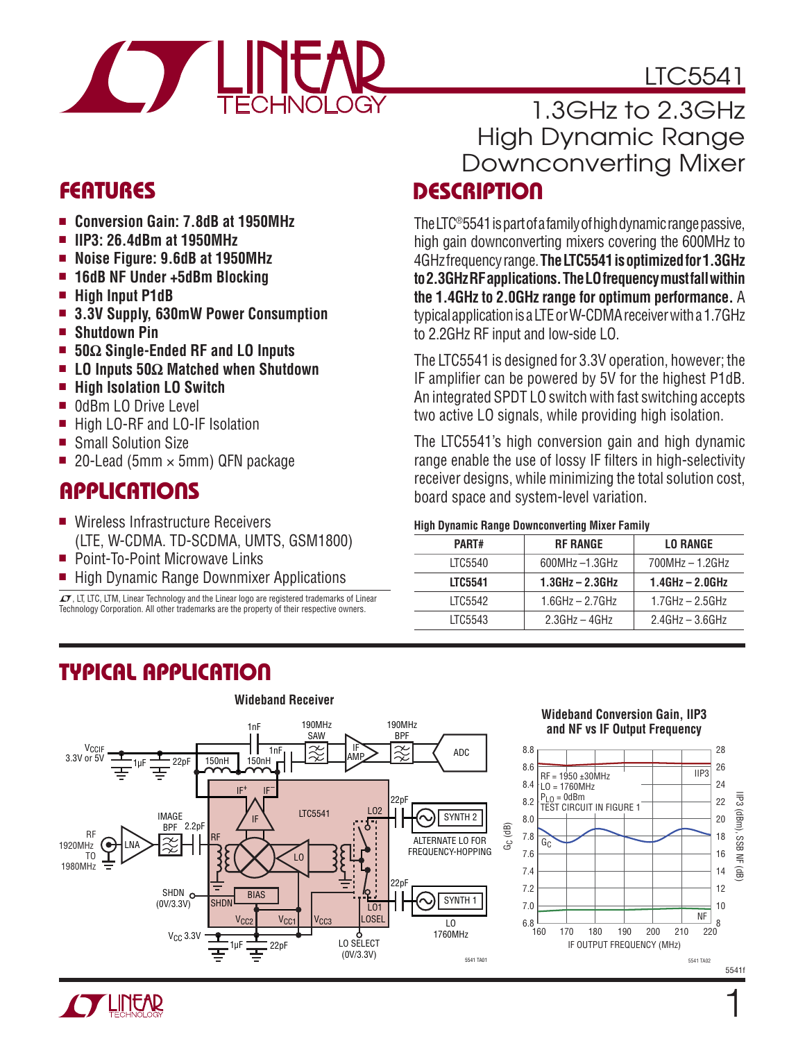# LTC5541



### **FEATURES**

- <sup>n</sup> **Conversion Gain: 7.8dB at 1950MHz**
- <sup>n</sup> **IIP3: 26.4dBm at 1950MHz**
- <sup>n</sup> **Noise Figure: 9.6dB at 1950MHz**
- $\blacksquare$  **16dB NF Under +5dBm Blocking**
- <sup>n</sup> **High Input P1dB**
- <sup>n</sup> **3.3V Supply, 630mW Power Consumption**
- <sup>n</sup> **Shutdown Pin**
- 50Ω Single-Ended RF and LO Inputs
- <sup>n</sup> **LO Inputs 50Ω Matched when Shutdown**
- High Isolation LO Switch
- OdBm LO Drive Level
- High LO-RF and LO-IF Isolation
- Small Solution Size
- 20-Lead (5mm  $\times$  5mm) QFN package

# **APPLICATIONS**

- Wireless Infrastructure Receivers (LTE, W-CDMA. TD-SCDMA, UMTS, GSM1800)
- Point-To-Point Microwave Links
- High Dynamic Range Downmixer Applications

 $\textbf{\textit{I}}$ , LT, LTC, LTM, Linear Technology and the Linear logo are registered trademarks of Linear Technology Corporation. All other trademarks are the property of their respective owners.

### **DESCRIPTION** 1.3GHz to 2.3GHz High Dynamic Range Downconverting Mixer

The LTC®5541 is part of a family of high dynamic range passive, high gain downconverting mixers covering the 600MHz to 4GHz frequency range. **The LTC5541 is optimized for 1.3GHz to 2.3GHz RF applications. The LO frequency must fall within the 1.4GHz to 2.0GHz range for optimum performance.** A typical application is a LTE or W-CDMA receiver with a 1.7GHz to 2.2GHz RF input and low-side LO.

The LTC5541 is designed for 3.3V operation, however; the IF amplifier can be powered by 5V for the highest P1dB. An integrated SPDT LO switch with fast switching accepts two active LO signals, while providing high isolation.

The LTC5541's high conversion gain and high dynamic range enable the use of lossy IF filters in high-selectivity receiver designs, while minimizing the total solution cost, board space and system-level variation.

#### **High Dynamic Range Downconverting Mixer Family**

| PART#          | <b>RF RANGE</b>       | <b>LO RANGE</b>      |
|----------------|-----------------------|----------------------|
| LTC5540        | $600MHz - 1.3GHz$     | $700MHz - 1.2GHz$    |
| <b>LTC5541</b> | $1.3$ GHz – $2.3$ GHz | $1.4$ GHz $-$ 2.0GHz |
| LTC5542        | $1.6$ GHz $- 2.7$ GHz | $1.7$ GHz $-$ 2.5GHz |
| LTC5543        | $2.3GHz - 4GHz$       | $2.4$ GHz $-$ 3.6GHz |
|                |                       |                      |

# **TYPICAL APPLICATION**



### **Wideband Conversion Gain, IIP3 and NF vs IF Output Frequency**



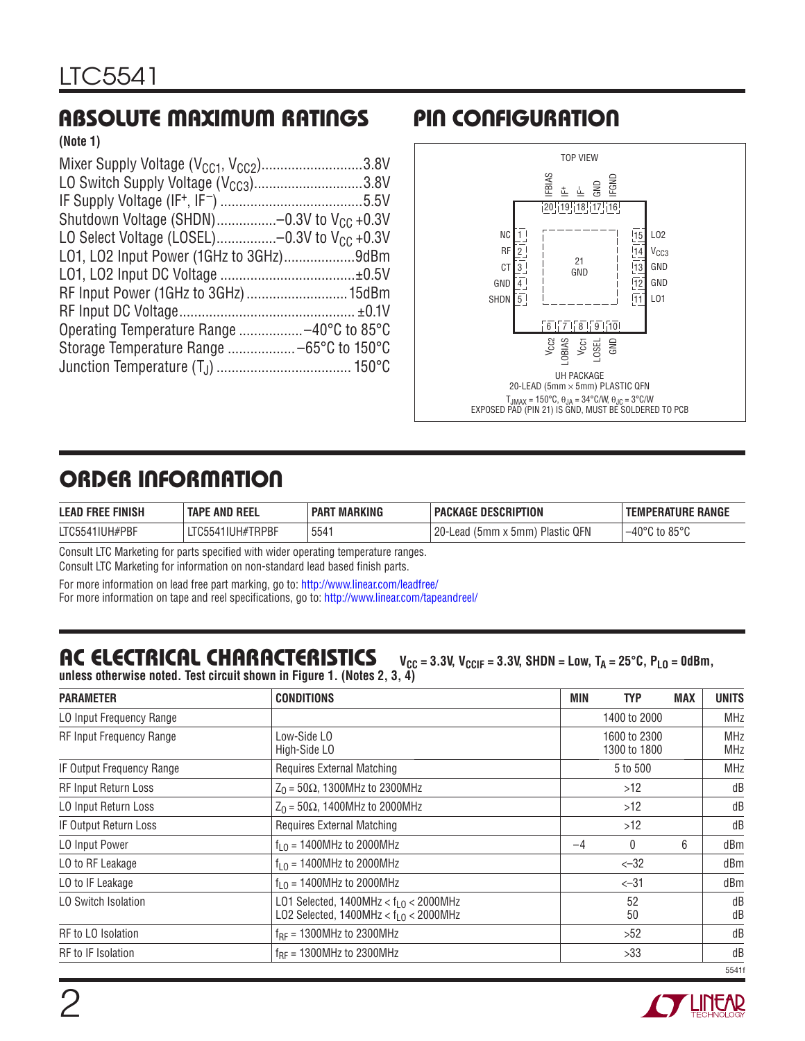# **ABSOLUTE MAXIMUM RATINGS PIN CONFIGURATION**

**(Note 1)**

| Mixer Supply Voltage $(V_{CG1}, V_{CC2})$ 3.8V   |  |
|--------------------------------------------------|--|
| LO Switch Supply Voltage $(V_{CC3})$ 3.8V        |  |
|                                                  |  |
| Shutdown Voltage (SHDN)-0.3V to $V_{CC}$ +0.3V   |  |
| LO Select Voltage (LOSEL)-0.3V to $V_{CC}$ +0.3V |  |
| L01, L02 Input Power (1GHz to 3GHz)9dBm          |  |
|                                                  |  |
| RF Input Power (1GHz to 3GHz)  15dBm             |  |
|                                                  |  |
|                                                  |  |
|                                                  |  |
|                                                  |  |
|                                                  |  |



# **ORDER INFORMATION**

| <b>LEAD FREE FINISH</b> | <b>TAPE AND REEL</b> | <b>MARKING</b><br><b>PART</b> | PACKAGE DESCRIPTION                                   | <b>TEMPERATURE RANGE</b>           |
|-------------------------|----------------------|-------------------------------|-------------------------------------------------------|------------------------------------|
| LTC5541IUH#PBF          | LTC5541IUH#TRPBF     | 5541                          | ാറ<br>Plastic QFN<br>$(5mm \times 5mm)$<br>Lead<br>ZU | $-40^{\circ}$ C to 85 $^{\circ}$ C |

Consult LTC Marketing for parts specified with wider operating temperature ranges.

Consult LTC Marketing for information on non-standard lead based finish parts.

For more information on lead free part marking, go to: http://www.linear.com/leadfree/

For more information on tape and reel specifications, go to: http://www.linear.com/tapeandreel/

### AC ELECTRICAL CHARACTERISTICS V<sub>CC</sub> = 3.3V, V<sub>CCIF</sub> = 3.3V, SHDN = Low, T<sub>A</sub> = 25°C, P<sub>LO</sub> = 0dBm, **unless otherwise noted. Test circuit shown in Figure 1. (Notes 2, 3, 4)**

| <b>PARAMETER</b>                | <b>CONDITIONS</b>                                                                  | MIN  | TYP                          | <b>MAX</b> | <b>UNITS</b>             |
|---------------------------------|------------------------------------------------------------------------------------|------|------------------------------|------------|--------------------------|
| LO Input Frequency Range        |                                                                                    |      | 1400 to 2000                 |            | <b>MHz</b>               |
| <b>RF Input Frequency Range</b> | Low-Side LO<br>High-Side LO                                                        |      | 1600 to 2300<br>1300 to 1800 |            | <b>MHz</b><br><b>MHz</b> |
| IF Output Frequency Range       | <b>Requires External Matching</b>                                                  |      | 5 to 500                     |            | <b>MHz</b>               |
| RF Input Return Loss            | $Z_0$ = 50Ω, 1300MHz to 2300MHz                                                    |      | >12                          |            | dB                       |
| LO Input Return Loss            | $Z_0$ = 50Ω, 1400MHz to 2000MHz                                                    |      | >12                          |            | dB                       |
| <b>IF Output Return Loss</b>    | <b>Requires External Matching</b>                                                  |      | >12                          |            | dB                       |
| LO Input Power                  | $f_{10} = 1400$ MHz to 2000MHz                                                     | $-4$ | 6<br>0                       |            | dBm                      |
| LO to RF Leakage                | $f_{10} = 1400$ MHz to 2000MHz                                                     |      | $< -32$                      |            | dBm                      |
| LO to IF Leakage                | $f_{10} = 1400$ MHz to 2000MHz                                                     |      | $< -31$                      |            | dBm                      |
| LO Switch Isolation             | LO1 Selected, $1400MHz < f10 < 2000MHz$<br>LO2 Selected, $1400MHz < f10 < 2000MHz$ |      | 52<br>50                     |            | dB<br>dB                 |
| RF to LO Isolation              | $f_{RF}$ = 1300MHz to 2300MHz                                                      |      | >52                          |            | dB                       |
| RF to IF Isolation              | $f_{RF}$ = 1300MHz to 2300MHz                                                      |      | >33                          |            | dB                       |
|                                 |                                                                                    |      |                              |            | 5541f                    |

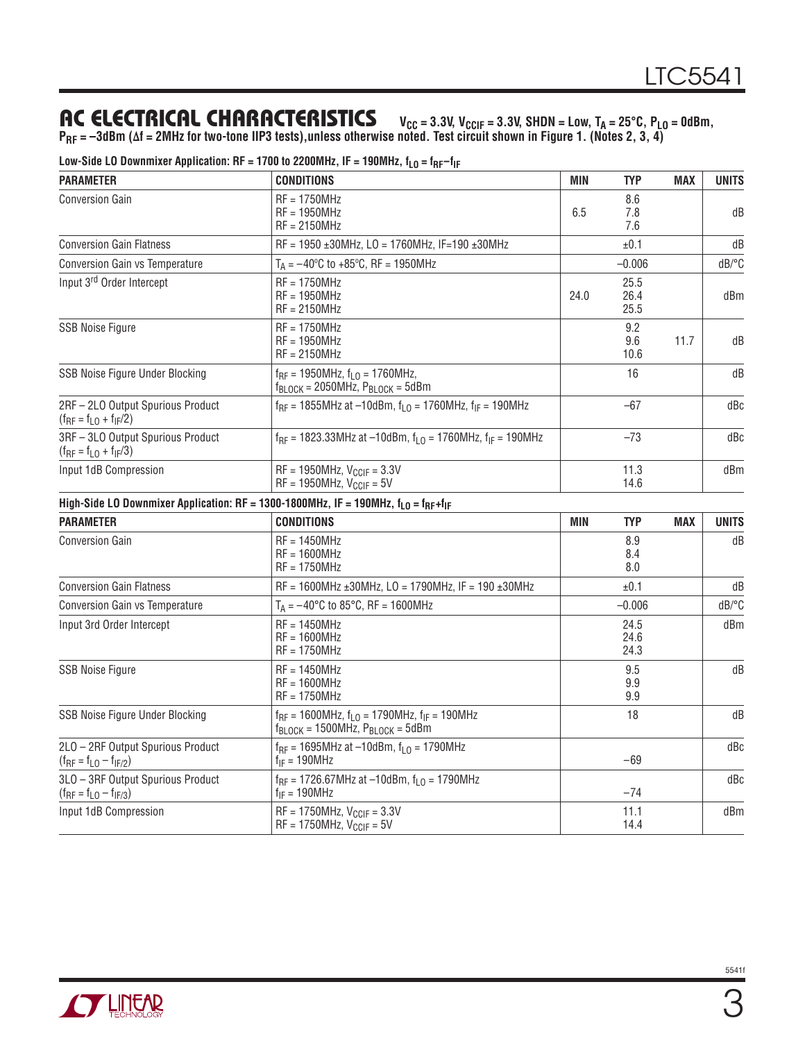### AC ELECTRICAL CHARACTERISTICS V<sub>CC</sub> = 3.3V, V<sub>CCIF</sub> = 3.3V, SHDN = Low, T<sub>A</sub> = 25°C, P<sub>LO</sub> = 0dBm,

**PRF = –3dBm (Δf = 2MHz for two-tone IIP3 tests),unless otherwise noted. Test circuit shown in Figure 1. (Notes 2, 3, 4)**

| <b>PARAMETER</b>                                                    | <b>CONDITIONS</b>                                                                                                                     | MIN                      | <b>TYP</b>           | MAX        | <b>UNITS</b> |
|---------------------------------------------------------------------|---------------------------------------------------------------------------------------------------------------------------------------|--------------------------|----------------------|------------|--------------|
| Conversion Gain                                                     | $RF = 1750MHz$<br>$RF = 1950MHz$<br>$RF = 2150MHz$                                                                                    | 8.6<br>6.5<br>7.8<br>7.6 |                      |            | dB           |
| <b>Conversion Gain Flatness</b>                                     | RF = 1950 ±30MHz, LO = 1760MHz, IF=190 ±30MHz                                                                                         |                          | ±0.1                 |            | dB           |
| <b>Conversion Gain vs Temperature</b>                               | $T_A = -40^{\circ}C$ to +85 $^{\circ}C$ , RF = 1950MHz                                                                                |                          | $-0.006$             |            | dB/°C        |
| Input 3 <sup>rd</sup> Order Intercept                               | $RF = 1750MHz$<br>$RF = 1950MHz$<br>$RF = 2150MHz$                                                                                    | 24.0                     | 25.5<br>26.4<br>25.5 |            | dBm          |
| <b>SSB Noise Figure</b>                                             | $RF = 1750MHz$<br>$RF = 1950MHz$<br>$RF = 2150MHz$                                                                                    |                          | 9.2<br>9.6<br>10.6   | 11.7       | dB           |
| SSB Noise Figure Under Blocking                                     | $f_{RF} = 1950 MHz$ , $f_{L0} = 1760 MHz$ ,<br>$f_{\text{BLOCK}}$ = 2050MHz, $P_{\text{BLOCK}}$ = 5dBm                                |                          | 16                   |            | dB           |
| 2RF-2LO Output Spurious Product<br>$(f_{RF} = f_{LO} + f_{IF}/2)$   | $f_{RF}$ = 1855MHz at -10dBm, $f_{LO}$ = 1760MHz, $f_{IF}$ = 190MHz                                                                   |                          | $-67$                |            | dBc          |
| 3RF-3LO Output Spurious Product<br>$(f_{RF} = f_{LO} + f_{IF}/3)$   | $f_{RF}$ = 1823.33MHz at -10dBm, $f_{L0}$ = 1760MHz, $f_{IF}$ = 190MHz                                                                |                          | $-73$                |            | dBc          |
| Input 1dB Compression                                               | $RF = 1950MHz$ , $V_{CCIF} = 3.3V$<br>$RF = 1950MHz$ , $V_{CCIF} = 5V$                                                                |                          | 11.3<br>14.6         |            | dBm          |
|                                                                     | High-Side LO Downmixer Application: RF = 1300-1800MHz, IF = 190MHz, f <sub>LO</sub> = f <sub>RF</sub> +f <sub>IF</sub>                |                          |                      |            |              |
| <b>PARAMETER</b>                                                    | <b>CONDITIONS</b>                                                                                                                     | <b>MIN</b>               | <b>TYP</b>           | <b>MAX</b> | <b>UNITS</b> |
| <b>Conversion Gain</b>                                              | $RF = 1450MHz$<br>$RF = 1600MHz$<br>$RF = 1750MHz$                                                                                    |                          | 8.9<br>8.4<br>8.0    |            | dB           |
| <b>Conversion Gain Flatness</b>                                     | $RF = 1600MHz \pm 30MHz$ , LO = 1790MHz, IF = 190 ±30MHz                                                                              |                          | ±0.1                 |            | dB           |
| <b>Conversion Gain vs Temperature</b>                               | $T_A = -40^{\circ}C$ to 85 $^{\circ}C$ , RF = 1600MHz                                                                                 |                          | $-0.006$             |            | dB/°C        |
| Input 3rd Order Intercept                                           | $RF = 1450MHz$<br>$RF = 1600MHz$<br>$RF = 1750MHz$                                                                                    |                          | 24.5<br>24.6<br>24.3 |            | dBm          |
| <b>SSB Noise Figure</b>                                             | $RF = 1450MHz$<br>$RF = 1600MHz$<br>$RF = 1750MHz$                                                                                    |                          | 9.5<br>9.9<br>9.9    |            | dB           |
| SSB Noise Figure Under Blocking                                     | $f_{RF}$ = 1600MHz, $f_{LO}$ = 1790MHz, $f_{IF}$ = 190MHz<br>$f_{\text{BLOCK}} = 1500 \text{MHz}$ , $P_{\text{BLOCK}} = 5 \text{dBm}$ |                          | 18                   |            | dB           |
| 2LO - 2RF Output Spurious Product<br>$(f_{RF} = f_{LO} - f_{IF/2})$ | $f_{RF}$ = 1695MHz at -10dBm, $f_{L0}$ = 1790MHz<br>$f_{IF} = 190MHz$                                                                 |                          | $-69$                |            | dBc          |
| 3LO - 3RF Output Spurious Product<br>$(f_{RF} = f_{LO} - f_{IF/3})$ | $f_{RF}$ = 1726.67MHz at -10dBm, $f_{LO}$ = 1790MHz<br>$f_{IF} = 190MHz$                                                              |                          | -74                  |            | dBc          |
| Input 1dB Compression                                               | $RF = 1750MHz, V_{CCIF} = 3.3V$<br>$RF = 1750MHz$ , $V_{CCIF} = 5V$                                                                   |                          | 11.1<br>14.4         |            | dBm          |

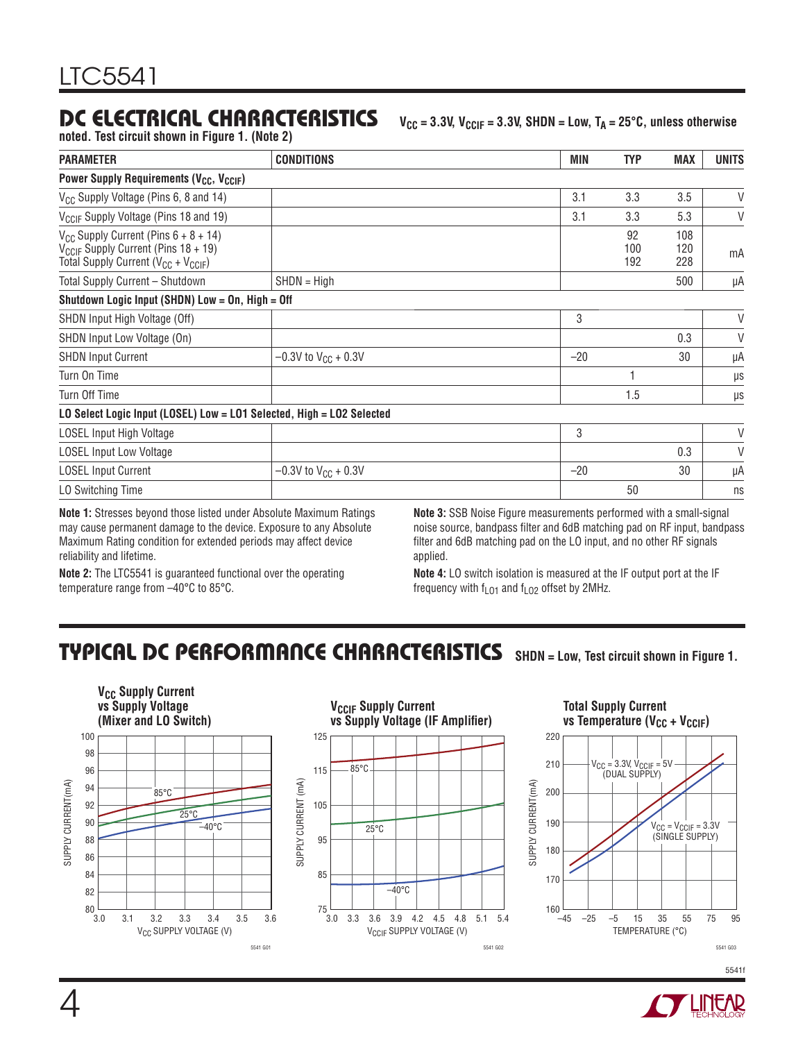### **DC ELECTRICAL CHARACTERISTICS**  $V_{CC} = 3.3V$ ,  $V_{CCIF} = 3.3V$ , SHDN = Low, TA = 25°C, unless otherwise

**noted. Test circuit shown in Figure 1. (Note 2)**

| <b>PARAMETER</b>                                                                                                                                  | <b>CONDITIONS</b>          | MIN                                                                           | <b>TYP</b>       | <b>MAX</b>        | <b>UNITS</b> |
|---------------------------------------------------------------------------------------------------------------------------------------------------|----------------------------|-------------------------------------------------------------------------------|------------------|-------------------|--------------|
| Power Supply Requirements (V <sub>CC</sub> , V <sub>CCIF</sub> )                                                                                  |                            |                                                                               |                  |                   |              |
| V <sub>CC</sub> Supply Voltage (Pins 6, 8 and 14)                                                                                                 |                            | 3.1                                                                           | 3.3              | 3.5               | $\vee$       |
| V <sub>CCIF</sub> Supply Voltage (Pins 18 and 19)                                                                                                 |                            | 3.1                                                                           | 3.3              | 5.3               | $\vee$       |
| $V_{CC}$ Supply Current (Pins $6 + 8 + 14$ )<br>V <sub>CCIF</sub> Supply Current (Pins 18 + 19)<br>Total Supply Current ( $V_{CC}$ + $V_{CCIF}$ ) |                            |                                                                               | 92<br>100<br>192 | 108<br>120<br>228 | mA           |
| Total Supply Current - Shutdown                                                                                                                   | $SHDN = High$              |                                                                               |                  | 500               | μA           |
| Shutdown Logic Input (SHDN) Low = On, High = Off                                                                                                  |                            |                                                                               |                  |                   |              |
| SHDN Input High Voltage (Off)                                                                                                                     |                            | 3                                                                             |                  |                   | $\vee$       |
| SHDN Input Low Voltage (On)                                                                                                                       |                            |                                                                               |                  | 0.3               | $\vee$       |
| <b>SHDN Input Current</b>                                                                                                                         | $-0.3V$ to $V_{CC}$ + 0.3V | $-20$                                                                         |                  | 30                | μA           |
| Turn On Time                                                                                                                                      |                            |                                                                               |                  |                   | $\mu$ s      |
| Turn Off Time                                                                                                                                     |                            |                                                                               | 1.5              |                   | $\mu$ s      |
| LO Select Logic Input (LOSEL) Low = LO1 Selected, High = LO2 Selected                                                                             |                            |                                                                               |                  |                   |              |
| LOSEL Input High Voltage                                                                                                                          |                            | 3                                                                             |                  |                   | $\vee$       |
| <b>LOSEL Input Low Voltage</b>                                                                                                                    |                            |                                                                               |                  | 0.3               | $\vee$       |
| <b>LOSEL Input Current</b>                                                                                                                        | $-0.3V$ to $V_{CC}$ + 0.3V | $-20$                                                                         |                  | 30                | μA           |
| LO Switching Time                                                                                                                                 |                            |                                                                               | 50               |                   | ns           |
| Material Others are becaused the cool Baterian also Abrechate Mandarana Dettone in                                                                |                            | Mate 6: 00D Mater. Florida are concerned and continued with a specificational |                  |                   |              |

**Note 1:** Stresses beyond those listed under Absolute Maximum Ratings may cause permanent damage to the device. Exposure to any Absolute Maximum Rating condition for extended periods may affect device reliability and lifetime.

**Note 3:** SSB Noise Figure measurements performed with a small-signal noise source, bandpass filter and 6dB matching pad on RF input, bandpass filter and 6dB matching pad on the LO input, and no other RF signals applied.

**Note 2:** The LTC5541 is guaranteed functional over the operating temperature range from –40°C to 85°C.

**Note 4:** LO switch isolation is measured at the IF output port at the IF frequency with  $f<sub>LO1</sub>$  and  $f<sub>LO2</sub>$  offset by 2MHz.

### **TYPICAL DC PERFORMANCE CHARACTERISTICS SHDN = Low, Test circuit shown in Figure 1.**





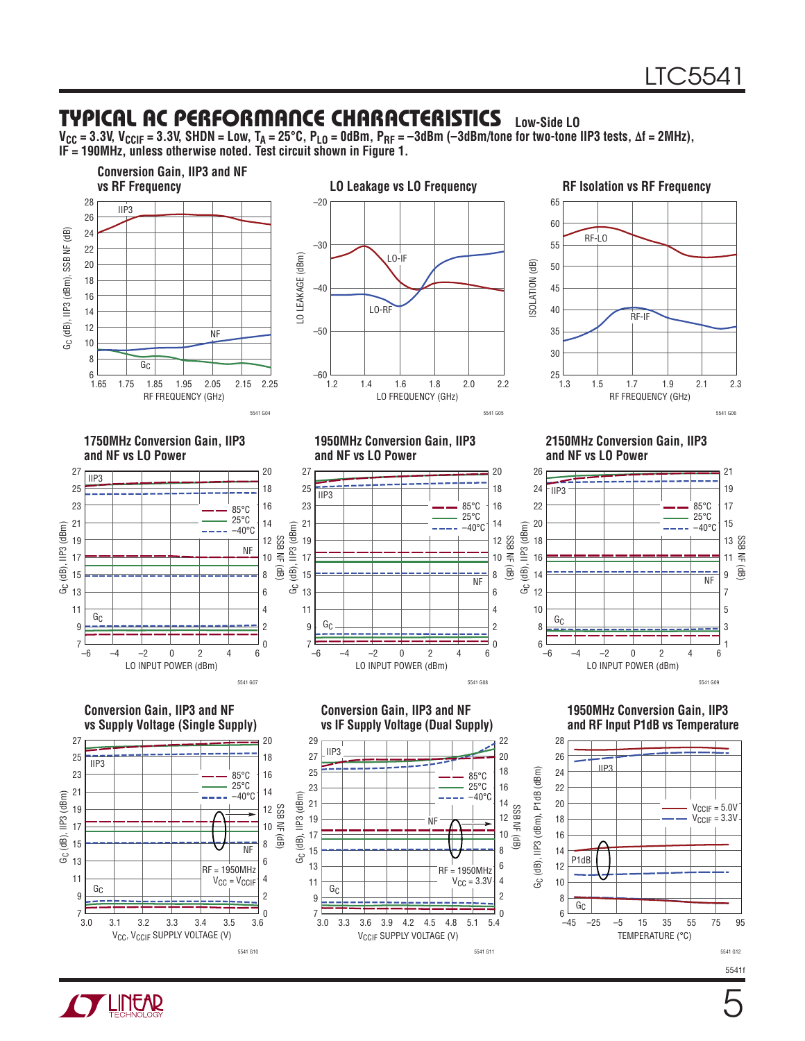#### **TYPICAL AC PERFORMANCE CHARACTERISTICS Low-Side LO**

**VCC = 3.3V, VCCIF = 3.3V, SHDN = Low, TA = 25°C, PLO = 0dBm, PRF = –3dBm (–3dBm/tone for two-tone IIP3 tests, Δf = 2MHz), IF = 190MHz, unless otherwise noted. Test circuit shown in Figure 1.**



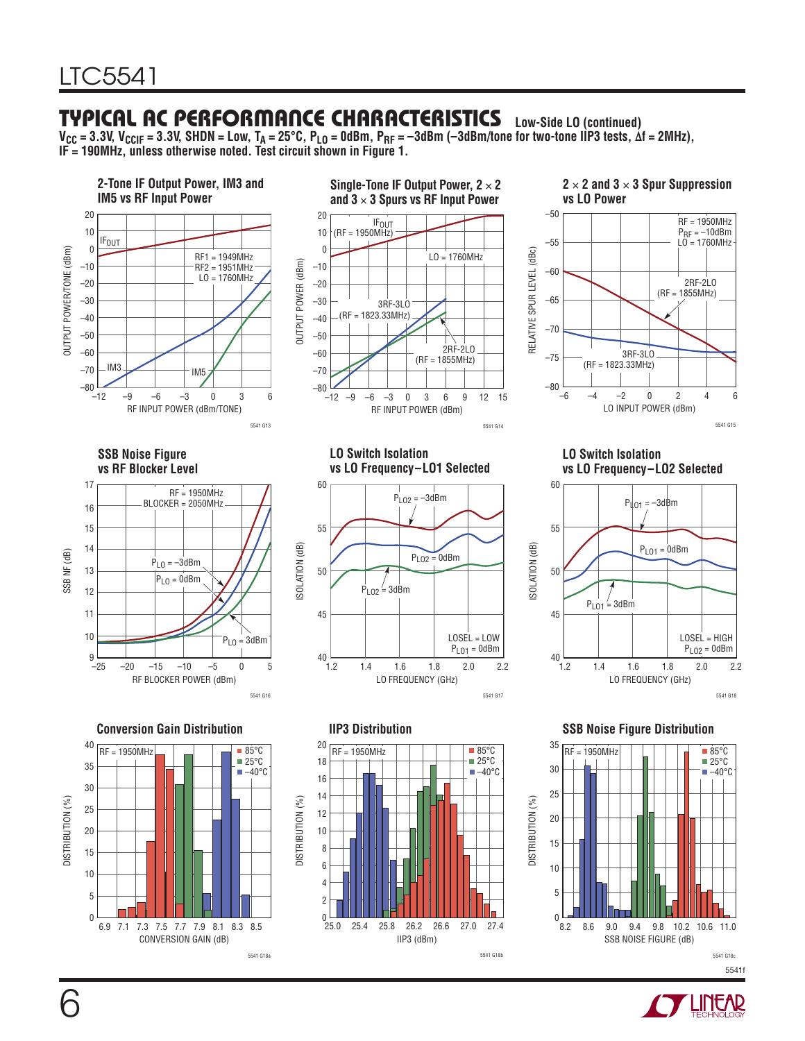### **TYPICAL AC PERFORMANCE CHARACTERISTICS Low-Side LO (continued)**

**VCC = 3.3V, VCCIF = 3.3V, SHDN = Low, TA = 25°C, PLO = 0dBm, PRF = –3dBm (–3dBm/tone for two-tone IIP3 tests, Δf = 2MHz), IF = 190MHz, unless otherwise noted. Test circuit shown in Figure 1.**





**Single-Tone IF Output Power, 2** × **2** 





**SSB Noise Figure vs RF Blocker Level**



**LO Switch Isolation vs LO Frequency–LO1 Selected**



**LO Switch Isolation vs LO Frequency–LO2 Selected**



40  $RF = 1950MHz$   $\Box$   $\Box$   $\Box$   $\Box$   $\Box$   $\Box$  85°C  $25^{\circ}$ C 35  $-40^{\circ}$ C 30 **DISTRIBUTION (%)** DISTRIBUTION (%) 25 20 15 10 5  $\overline{0}$ 6.9 7.1 7.1 8.1 8.3 8.5 7.3 7.5 7.7 7.9 CONVERSION GAIN (dB)

5541 G18a

DISTRIBUTION (%)

DISTRIBUTION (%)



**Conversion Gain Distribution IIP3 Distribution SSB Noise Figure Distribution**



DISTRIBUTION (%)

DISTRIBUTION (%)

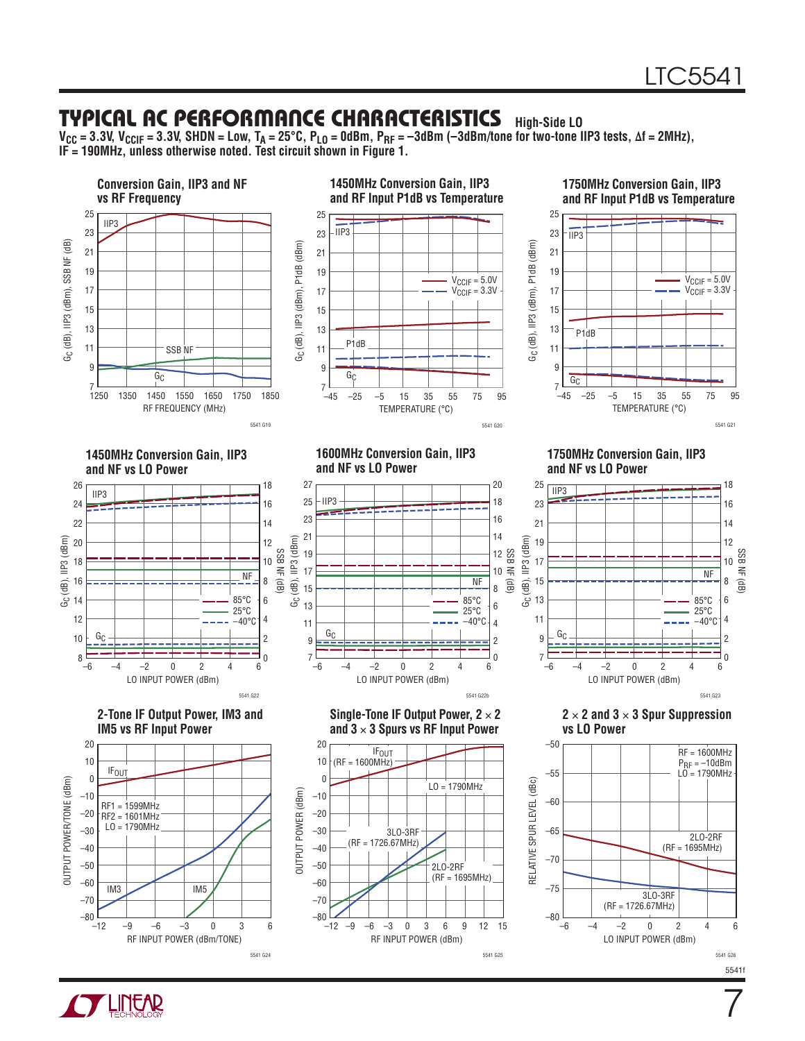7

### **TYPICAL AC PERFORMANCE CHARACTERISTICS High-Side LO**

**VCC = 3.3V, VCCIF = 3.3V, SHDN = Low, TA = 25°C, PLO = 0dBm, PRF = –3dBm (–3dBm/tone for two-tone IIP3 tests, Δf = 2MHz), IF = 190MHz, unless otherwise noted. Test circuit shown in Figure 1.**



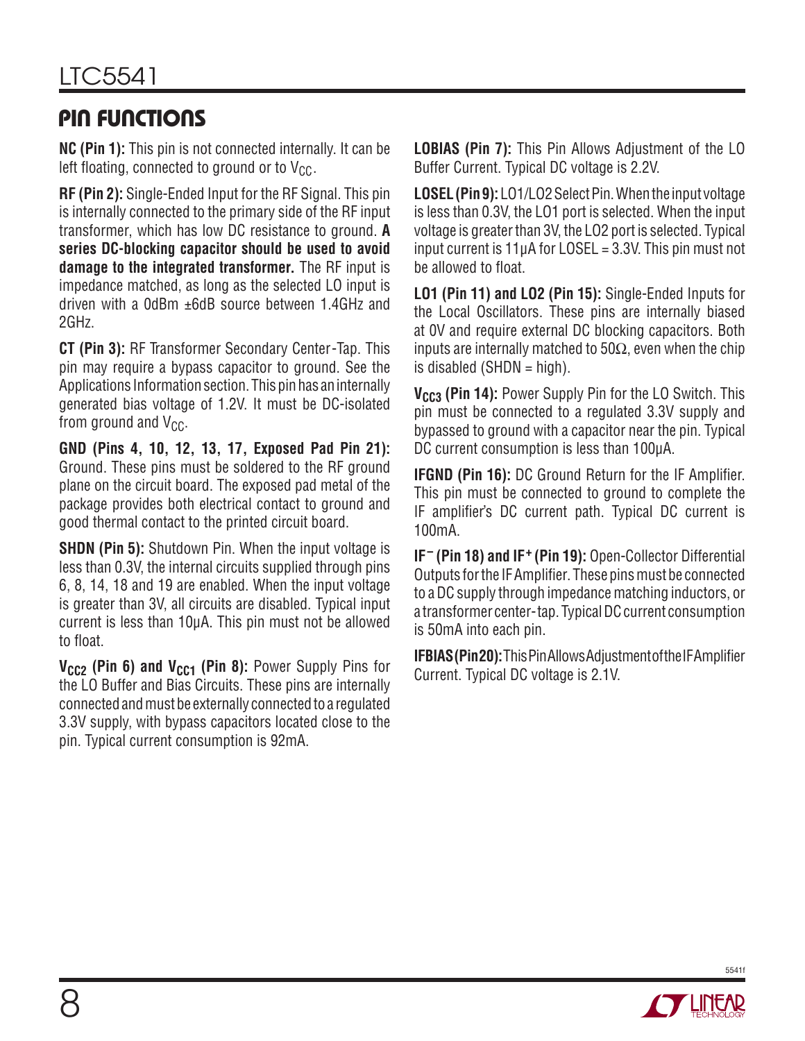# **PIN FUNCTIONS**

**NC (Pin 1):** This pin is not connected internally. It can be left floating, connected to ground or to  $V_{CC}$ .

**RF (Pin 2):** Single-Ended Input for the RF Signal. This pin is internally connected to the primary side of the RF input transformer, which has low DC resistance to ground. **A series DC-blocking capacitor should be used to avoid damage to the integrated transformer.** The RF input is impedance matched, as long as the selected LO input is driven with a 0dBm ±6dB source between 1.4GHz and 2GHz.

**CT (Pin 3):** RF Transformer Secondary Center-Tap. This pin may require a bypass capacitor to ground. See the Applications Information section. This pin has an internally generated bias voltage of 1.2V. It must be DC-isolated from ground and  $V_{CC}$ .

**GND (Pins 4, 10, 12, 13, 17, Exposed Pad Pin 21):**  Ground. These pins must be soldered to the RF ground plane on the circuit board. The exposed pad metal of the package provides both electrical contact to ground and good thermal contact to the printed circuit board.

**SHDN (Pin 5):** Shutdown Pin. When the input voltage is less than 0.3V, the internal circuits supplied through pins 6, 8, 14, 18 and 19 are enabled. When the input voltage is greater than 3V, all circuits are disabled. Typical input current is less than 10μA. This pin must not be allowed to float.

**V<sub>CC2</sub> (Pin 6) and V<sub>CC1</sub> (Pin 8):** Power Supply Pins for the LO Buffer and Bias Circuits. These pins are internally connected and must be externally connected to a regulated 3.3V supply, with bypass capacitors located close to the pin. Typical current consumption is 92mA.

**LOBIAS (Pin 7):** This Pin Allows Adjustment of the LO Buffer Current. Typical DC voltage is 2.2V.

**LOSEL (Pin 9):** LO1/LO2 Select Pin. When the input voltage is less than 0.3V, the LO1 port is selected. When the input voltage is greater than 3V, the LO2 port is selected. Typical input current is  $11\mu A$  for LOSEL = 3.3V. This pin must not be allowed to float.

**LO1 (Pin 11) and LO2 (Pin 15):** Single-Ended Inputs for the Local Oscillators. These pins are internally biased at 0V and require external DC blocking capacitors. Both inputs are internally matched to  $50\Omega$ , even when the chip is disabled (SHDN  $=$  high).

**V<sub>CC3</sub>** (Pin 14): Power Supply Pin for the LO Switch. This pin must be connected to a regulated 3.3V supply and bypassed to ground with a capacitor near the pin. Typical DC current consumption is less than 100μA.

**IFGND (Pin 16): DC Ground Return for the IF Amplifier.** This pin must be connected to ground to complete the IF amplifier's DC current path. Typical DC current is 100mA.

**IF– (Pin 18) and IF+ (Pin 19):** Open-Collector Differential Outputs for the IF Amplifier. These pins must be connected to a DC supply through impedance matching inductors, or a transformer center-tap. Typical DC current consumption is 50mA into each pin.

**IFBIAS (Pin 20):** This Pin Allows Adjustment of the IF Amplifier Current. Typical DC voltage is 2.1V.

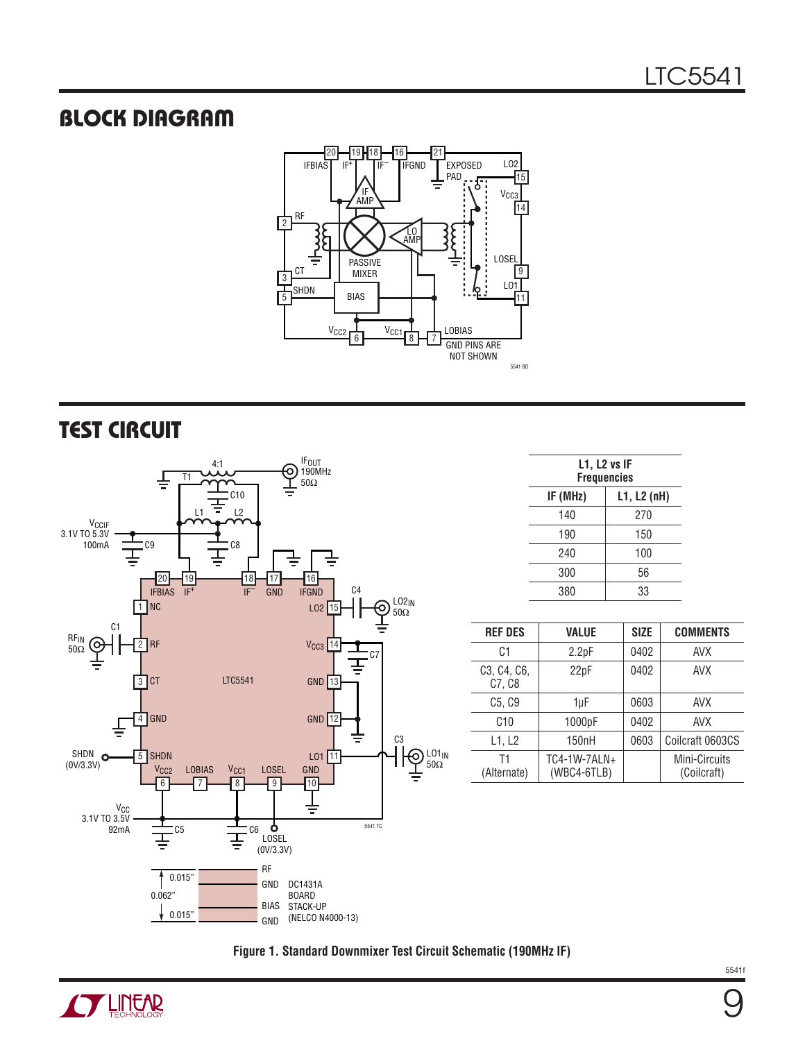### **BLOCK DIAGRAM**



### **TEST CIRCUIT**



| $L1$ , $L2$ vs IF<br><b>Frequencies</b> |     |  |
|-----------------------------------------|-----|--|
| IF (MHz)<br>L1, L2(nH)                  |     |  |
| 140                                     | 270 |  |
| 190                                     | 150 |  |
| 240                                     | 100 |  |
| 300                                     | 56  |  |
| 380                                     | 33  |  |
|                                         |     |  |

| <b>REF DES</b>                                               | <b>VALUE</b>                | <b>SIZE</b> | <b>COMMENTS</b>              |
|--------------------------------------------------------------|-----------------------------|-------------|------------------------------|
| C1                                                           | 2.2pF                       | 0402        | AVX                          |
| C <sub>3</sub> , C <sub>4</sub> , C <sub>6</sub> ,<br>C7, C8 | 22pF                        | 0402        | <b>AVX</b>                   |
| C <sub>5</sub> , C <sub>9</sub>                              | 1µF                         | 0603        | <b>AVX</b>                   |
| C10                                                          | 1000pF                      | 0402        | <b>AVX</b>                   |
| L1, L2                                                       | 150 <sub>n</sub> H          | 0603        | Coilcraft 0603CS             |
| T1<br>(Alternate)                                            | TC4-1W-7ALN+<br>(WBC4-6TLB) |             | Mini-Circuits<br>(Coilcraft) |

**Figure 1. Standard Downmixer Test Circuit Schematic (190MHz IF)**

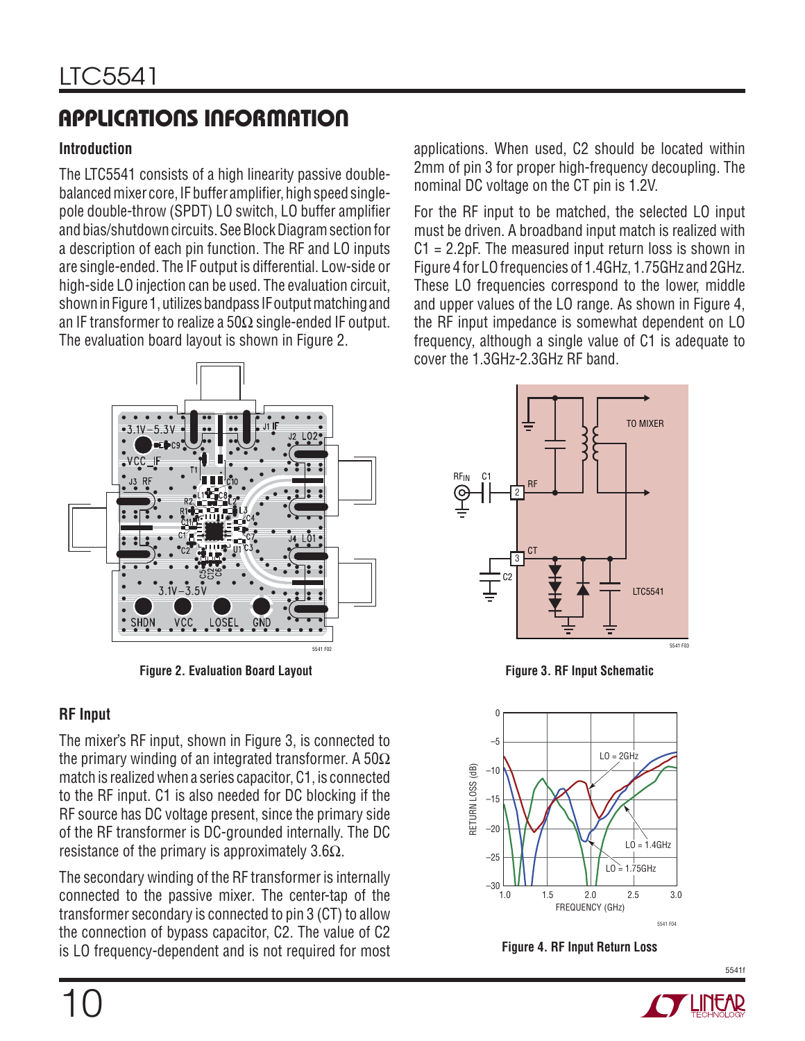### **Introduction**

The LTC5541 consists of a high linearity passive doublebalanced mixer core, IF buffer amplifier, high speed singlepole double-throw (SPDT) LO switch, LO buffer amplifier and bias/shutdown circuits. See Block Diagram section for a description of each pin function. The RF and LO inputs are single-ended. The IF output is differential. Low-side or high-side LO injection can be used. The evaluation circuit, shown in Figure 1, utilizes bandpass IF output matching and an IF transformer to realize a 50 $\Omega$  single-ended IF output. The evaluation board layout is shown in Figure 2.



**Figure 2. Evaluation Board Layout**

### **RF Input**

The mixer's RF input, shown in Figure 3, is connected to the primary winding of an integrated transformer. A 50 $\Omega$ match is realized when a series capacitor, C1, is connected to the RF input. C1 is also needed for DC blocking if the RF source has DC voltage present, since the primary side of the RF transformer is DC-grounded internally. The DC resistance of the primary is approximately 3.6 $\Omega$ .

The secondary winding of the RF transformer is internally connected to the passive mixer. The center-tap of the transformer secondary is connected to pin 3 (CT) to allow the connection of bypass capacitor, C2. The value of C2 is LO frequency-dependent and is not required for most For the RF input to be matched, the selected LO input must be driven. A broadband input match is realized with  $C1 = 2.2pF$ . The measured input return loss is shown in Figure 4 for LO frequencies of 1.4GHz, 1.75GHz and 2GHz. These LO frequencies correspond to the lower, middle and upper values of the LO range. As shown in Figure 4, the RF input impedance is somewhat dependent on LO frequency, although a single value of C1 is adequate to cover the 1.3GHz-2.3GHz RF band.



**Figure 3. RF Input Schematic**



**Figure 4. RF Input Return Loss**

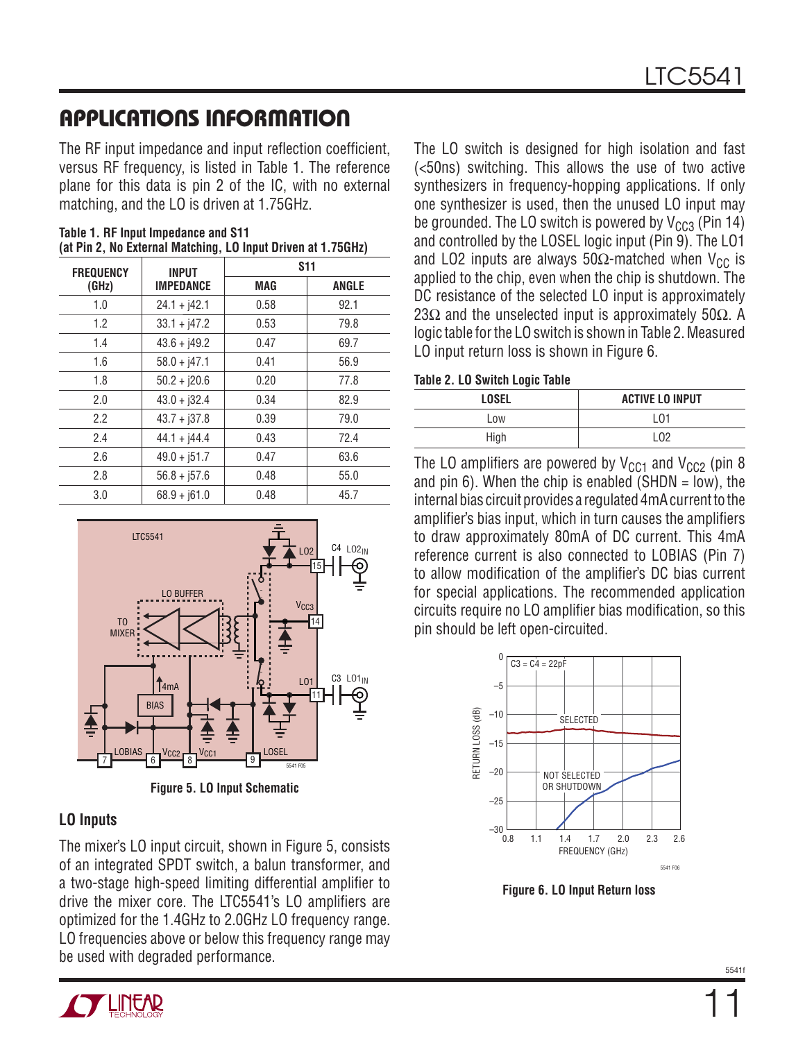The RF input impedance and input reflection coefficient. versus RF frequency, is listed in Table 1. The reference plane for this data is pin 2 of the IC, with no external matching, and the LO is driven at 1.75GHz.

| <b>FREQUENCY</b> | <b>INPUT</b>     | <b>S11</b> |              |
|------------------|------------------|------------|--------------|
| (GHz)            | <b>IMPEDANCE</b> | <b>MAG</b> | <b>ANGLE</b> |
| 1.0              | $24.1 + j42.1$   | 0.58       | 92.1         |
| 1.2              | $33.1 + j47.2$   | 0.53       | 79.8         |
| 1.4              | $43.6 + j49.2$   | 0.47       | 69.7         |
| 1.6              | $58.0 + j47.1$   | 0.41       | 56.9         |
| 1.8              | $50.2 + j20.6$   | 0.20       | 77.8         |
| 2.0              | $43.0 + j32.4$   | 0.34       | 82.9         |
| 2.2              | $43.7 + 137.8$   | 0.39       | 79.0         |
| 2.4              | $44.1 + j44.4$   | 0.43       | 72.4         |
| 2.6              | $49.0 + j51.7$   | 0.47       | 63.6         |
| 2.8              | $56.8 + 157.6$   | 0.48       | 55.0         |
| 3.0              | $68.9 + j61.0$   | 0.48       | 45.7         |

**Table 1. RF Input Impedance and S11 (at Pin 2, No External Matching, LO Input Driven at 1.75GHz)**



**Figure 5. LO Input Schematic**

### **LO Inputs**

The mixer's LO input circuit, shown in Figure 5, consists of an integrated SPDT switch, a balun transformer, and a two-stage high-speed limiting differential amplifier to drive the mixer core. The LTC5541's LO amplifiers are optimized for the 1.4GHz to 2.0GHz LO frequency range. LO frequencies above or below this frequency range may be used with degraded performance.



#### **Table 2. LO Switch Logic Table**

| .            |                        |
|--------------|------------------------|
| <b>LOSEL</b> | <b>ACTIVE LO INPUT</b> |
| Low          | L01                    |
| High         | I N2                   |

The LO amplifiers are powered by  $V_{CC1}$  and  $V_{CC2}$  (pin 8 and pin 6). When the chip is enabled  $(SHDN = low)$ , the internal bias circuit provides a regulated 4mA current to the amplifier's bias input, which in turn causes the amplifiers to draw approximately 80mA of DC current. This 4mA reference current is also connected to LOBIAS (Pin 7) to allow modification of the amplifier's DC bias current for special applications. The recommended application circuits require no LO amplifier bias modification, so this pin should be left open-circuited.



**Figure 6. LO Input Return loss**

11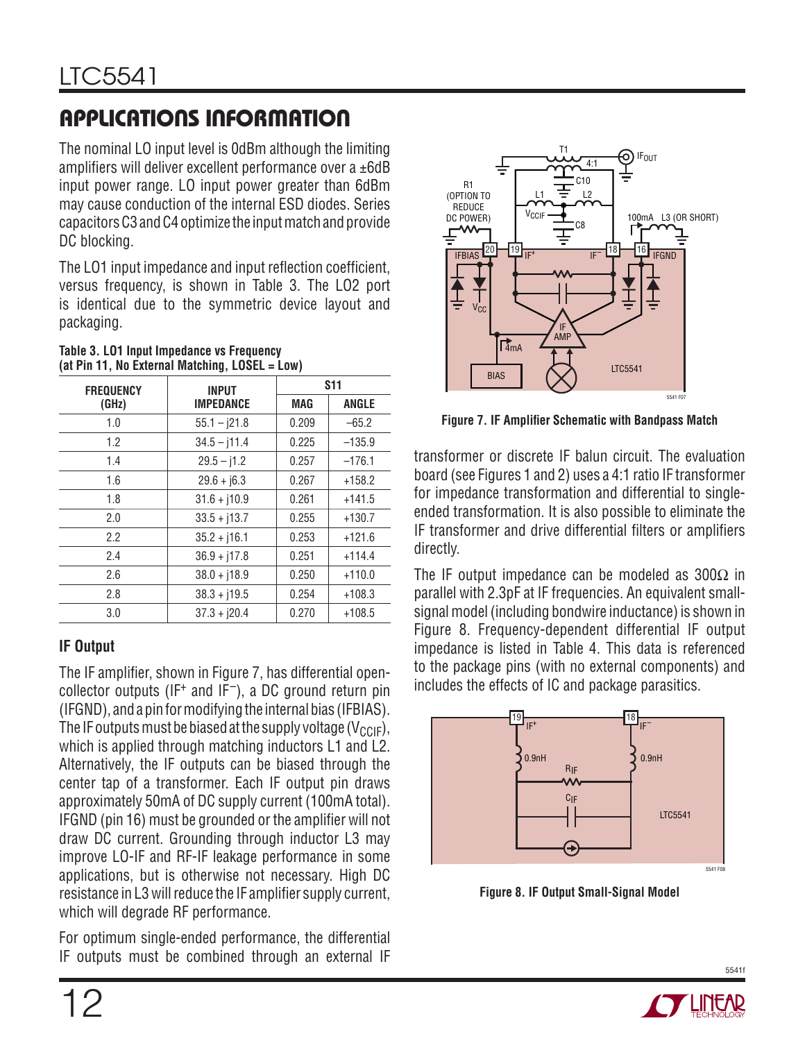The nominal LO input level is 0dBm although the limiting amplifiers will deliver excellent performance over a  $\pm 6$ dB input power range. LO input power greater than 6dBm may cause conduction of the internal ESD diodes. Series capacitors C3 and C4 optimize the input match and provide DC blocking.

The LO1 input impedance and input reflection coefficient, versus frequency, is shown in Table 3. The LO2 port is identical due to the symmetric device layout and packaging.

| 1999 - 1999 - 1999 - 1999 - 1999 - 1999 - 1999 - 1999 - 1999 - 1999 - 1999 - 1999 - 1999 - 1999 - 19 |                  |            |              |  |  |
|------------------------------------------------------------------------------------------------------|------------------|------------|--------------|--|--|
| <b>FREQUENCY</b>                                                                                     | <b>INPUT</b>     |            | <b>S11</b>   |  |  |
| (GHz)                                                                                                | <b>IMPEDANCE</b> | <b>MAG</b> | <b>ANGLE</b> |  |  |
| 1.0                                                                                                  | $55.1 - j21.8$   | 0.209      | $-65.2$      |  |  |
| 1.2                                                                                                  | $34.5 - j11.4$   | 0.225      | $-135.9$     |  |  |
| 1.4                                                                                                  | $29.5 - j1.2$    | 0.257      | $-176.1$     |  |  |
| 1.6                                                                                                  | $29.6 + j6.3$    | 0.267      | $+158.2$     |  |  |
| 1.8                                                                                                  | $31.6 + j10.9$   | 0.261      | $+141.5$     |  |  |
| 2.0                                                                                                  | $33.5 + j13.7$   | 0.255      | $+130.7$     |  |  |
| 2.2                                                                                                  | $35.2 + j16.1$   | 0.253      | $+121.6$     |  |  |
| 2.4                                                                                                  | $36.9 + j17.8$   | 0.251      | $+114.4$     |  |  |
| 2.6                                                                                                  | $38.0 + j18.9$   | 0.250      | $+110.0$     |  |  |
| 2.8                                                                                                  | $38.3 + j19.5$   | 0.254      | $+108.3$     |  |  |
| 3.0                                                                                                  | $37.3 + j20.4$   | 0.270      | $+108.5$     |  |  |

#### **Table 3. LO1 Input Impedance vs Frequency (at Pin 11, No External Matching, LOSEL = Low)**

### **IF Output**

The IF amplifier, shown in Figure 7, has differential opencollector outputs (IF<sup>+</sup> and IF<sup>-</sup>), a DC ground return pin (IFGND), and a pin for modifying the internal bias (IFBIAS). The IF outputs must be biased at the supply voltage ( $V_{CCE}$ ), which is applied through matching inductors L1 and L2. Alternatively, the IF outputs can be biased through the center tap of a transformer. Each IF output pin draws approximately 50mA of DC supply current (100mA total). IFGND (pin 16) must be grounded or the amplifier will not draw DC current. Grounding through inductor L3 may improve LO-IF and RF-IF leakage performance in some applications, but is otherwise not necessary. High DC resistance in L3 will reduce the IF amplifier supply current, which will degrade RF performance.

For optimum single-ended performance, the differential IF outputs must be combined through an external IF



**Figure 7. IF Amplifier Schematic with Bandpass Match** 

transformer or discrete IF balun circuit. The evaluation board (see Figures 1 and 2) uses a 4:1 ratio IF transformer for impedance transformation and differential to singleended transformation. It is also possible to eliminate the IF transformer and drive differential filters or amplifiers directly.

The IF output impedance can be modeled as  $300\Omega$  in parallel with 2.3pF at IF frequencies. An equivalent smallsignal model (including bondwire inductance) is shown in Figure 8. Frequency-dependent differential IF output impedance is listed in Table 4. This data is referenced to the package pins (with no external components) and includes the effects of IC and package parasitics.



**Figure 8. IF Output Small-Signal Model**

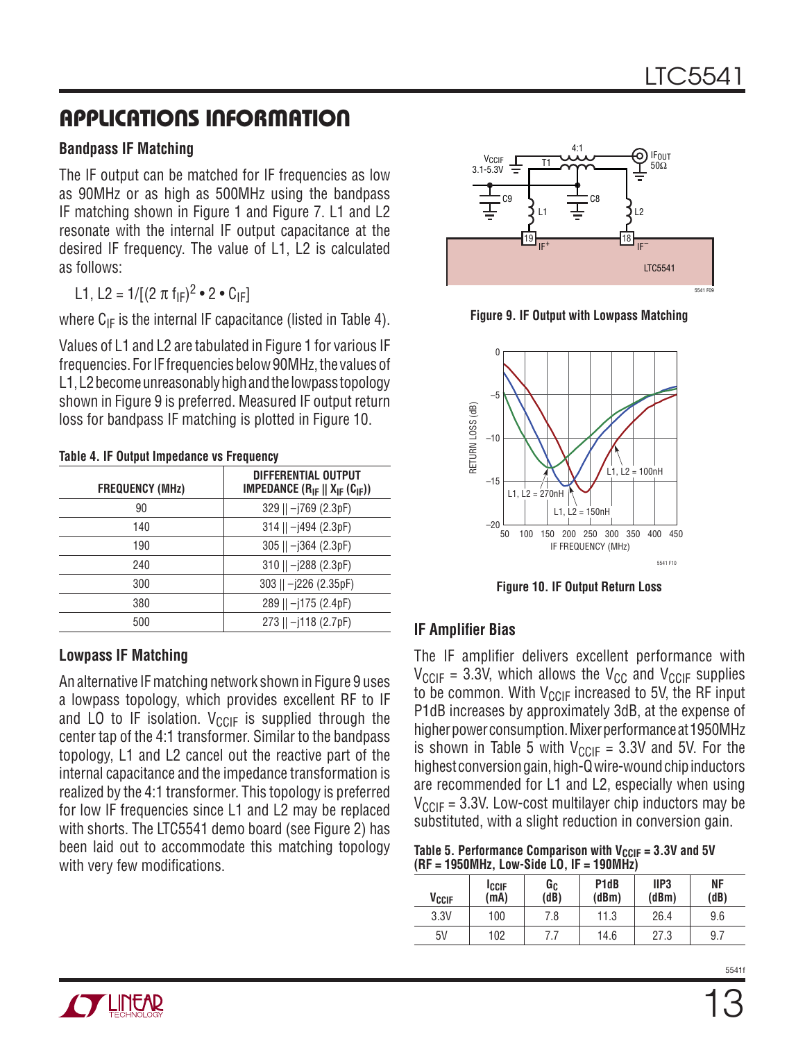### **Bandpass IF Matching**

The IF output can be matched for IF frequencies as low as 90MHz or as high as 500MHz using the bandpass IF matching shown in Figure 1 and Figure 7. L1 and L2 resonate with the internal IF output capacitance at the desired IF frequency. The value of L1, L2 is calculated as follows:

L1, L2 =  $1/[(2 \pi f_{IF})^2 \cdot 2 \cdot C_{IF}]$ 

where  $C_{IF}$  is the internal IF capacitance (listed in Table 4).

Values of L1 and L2 are tabulated in Figure 1 for various IF frequencies. For IF frequencies below 90MHz, the values of L1, L2 become unreasonably high and the lowpass topology shown in Figure 9 is preferred. Measured IF output return loss for bandpass IF matching is plotted in Figure 10.

|                        | Table 4. If Output Impoughed vs Fiequency                                    |  |  |
|------------------------|------------------------------------------------------------------------------|--|--|
| <b>FREQUENCY (MHz)</b> | <b>DIFFERENTIAL OUTPUT</b><br><b>IMPEDANCE</b> $(R_{IF}    X_{IF} (C_{IF}))$ |  |  |
| 90                     | 329    -j769 (2.3pF)                                                         |  |  |
| 140                    | $314$    $ 1494$ (2.3pF)                                                     |  |  |
| 190                    | $305$    $-j364$ (2.3pF)                                                     |  |  |
| 240                    | 310    -j288 (2.3pF)                                                         |  |  |
| 300                    | 303    $-j226$ (2.35pF)                                                      |  |  |
| 380                    | $289$    $-j175$ (2.4pF)                                                     |  |  |
| 500                    | $273$    $-$  118 (2.7pF)                                                    |  |  |
|                        |                                                                              |  |  |

**Table 4. IF Output Impedance vs Frequency**

### **Lowpass IF Matching**

An alternative IF matching network shown in Figure 9 uses a lowpass topology, which provides excellent RF to IF and LO to IF isolation.  $V_{CCIF}$  is supplied through the center tap of the 4:1 transformer. Similar to the bandpass topology, L1 and L2 cancel out the reactive part of the internal capacitance and the impedance transformation is realized by the 4:1 transformer. This topology is preferred for low IF frequencies since L1 and L2 may be replaced with shorts. The LTC5541 demo board (see Figure 2) has been laid out to accommodate this matching topology with very few modifications.



**Figure 9. IF Output with Lowpass Matching**



**Figure 10. IF Output Return Loss**

### **IF Amplifier Bias**

The IF amplifier delivers excellent performance with  $V_{\text{CClF}}$  = 3.3V, which allows the V<sub>CC</sub> and V<sub>CCIF</sub> supplies to be common. With  $V_{CCIF}$  increased to 5V, the RF input P1dB increases by approximately 3dB, at the expense of higher power consumption. Mixer performance at 1950MHz is shown in Table 5 with  $V_{CCIF} = 3.3V$  and 5V. For the highest conversion gain, high-Q wire-wound chip inductors are recommended for L1 and L2, especially when using  $V_{CCIF}$  = 3.3V. Low-cost multilayer chip inductors may be substituted, with a slight reduction in conversion gain.

Table 5. Performance Comparison with  $V_{CCIF} = 3.3V$  and 5V **(RF = 1950MHz, Low-Side LO, IF = 190MHz)**

| V <sub>CCIF</sub> | <b>ICCIF</b><br>(mA) | Gc<br>(dB) | P <sub>1</sub> d <sub>B</sub><br>(dBm) | IIP <sub>3</sub><br>(dBm) | ΝF<br>(dB) |
|-------------------|----------------------|------------|----------------------------------------|---------------------------|------------|
| 3.3V              | 100                  | 7.8        | 11.3                                   | 26.4                      | 9.6        |
| 5V                | 102                  |            | 14.6                                   | 27.3                      | 9.7        |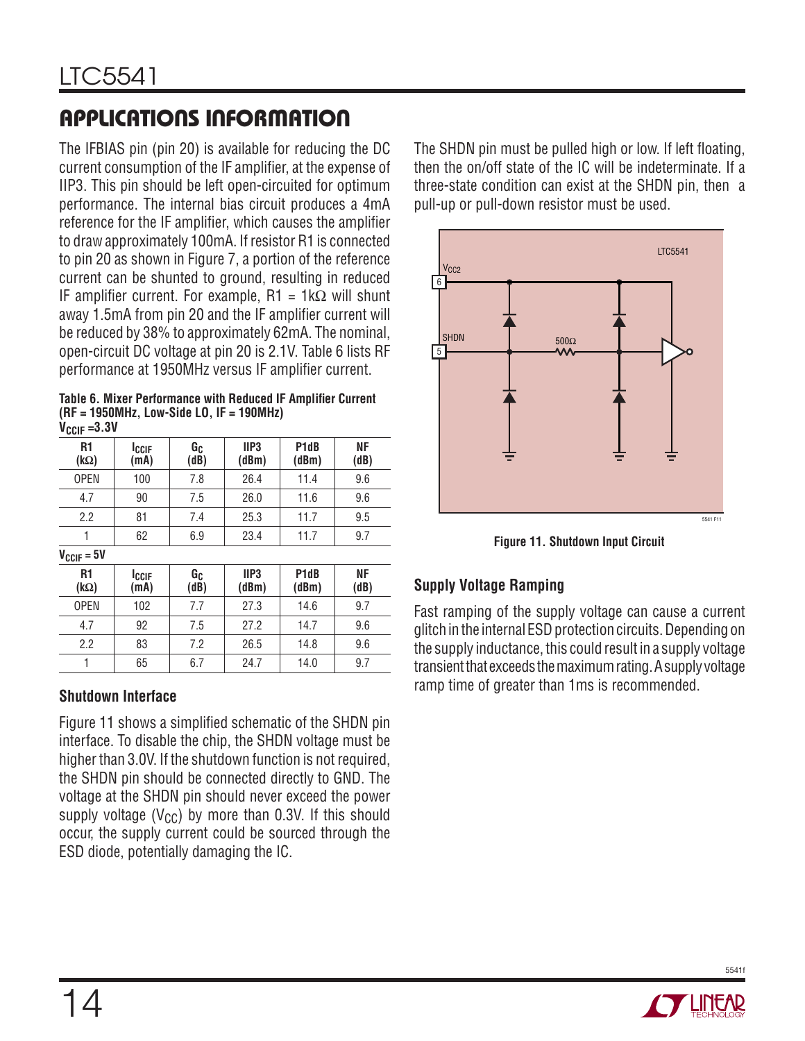The IFBIAS pin (pin 20) is available for reducing the DC current consumption of the IF amplifier, at the expense of IIP3. This pin should be left open-circuited for optimum performance. The internal bias circuit produces a 4mA reference for the IF amplifier, which causes the amplifier to draw approximately 100mA. If resistor R1 is connected to pin 20 as shown in Figure 7, a portion of the reference current can be shunted to ground, resulting in reduced IF amplifier current. For example,  $R1 = 1k\Omega$  will shunt away 1.5mA from pin 20 and the IF amplifier current will be reduced by 38% to approximately 62mA. The nominal, open-circuit DC voltage at pin 20 is 2.1V. Table 6 lists RF performance at 1950MHz versus IF amplifier current.

**Table 6. Mixer Performance with Reduced IF Amplifier Current (RF = 1950MHz, Low-Side LO, IF = 190MHz) VCCIF =3.3V**

| R <sub>1</sub><br>$(k\Omega)$ | <b>ICCIF</b><br>(mA) | Gc<br>(dB) | IIP <sub>3</sub><br>(dBm) | P <sub>1</sub> d <sub>B</sub><br>(dBm) | ΝF<br>(dB) |  |
|-------------------------------|----------------------|------------|---------------------------|----------------------------------------|------------|--|
| <b>OPEN</b>                   | 100                  | 7.8        | 26.4                      | 11.4                                   | 9.6        |  |
| 4.7                           | 90                   | 7.5        | 26.0                      | 11.6                                   | 9.6        |  |
| 2.2                           | 81                   | 7.4        | 25.3                      | 11.7                                   | 9.5        |  |
| 1                             | 62                   | 6.9        | 23.4                      | 11.7                                   | 9.7        |  |
| $V_{CCIF} = 5V$               |                      |            |                           |                                        |            |  |
| R <sub>1</sub><br>$(k\Omega)$ | <b>ICCIF</b><br>(mA) | Gc<br>(dB) | IIP <sub>3</sub><br>(dBm) | P <sub>1</sub> d <sub>B</sub><br>(dBm) | ΝF<br>(dB) |  |
| <b>OPEN</b>                   | 102                  | 7.7        | 27.3                      | 14.6                                   | 9.7        |  |
| 4.7                           | 92                   | 7.5        | 27.2                      | 14.7                                   | 9.6        |  |
| 2.2                           | 83                   | 7.2        | 26.5                      | 14.8                                   | 9.6        |  |
| 1                             | 65                   | 6.7        | 24.7                      | 14.0                                   | 9.7        |  |

### **Shutdown Interface**

Figure 11 shows a simplified schematic of the SHDN pin interface. To disable the chip, the SHDN voltage must be higher than 3.0V. If the shutdown function is not required, the SHDN pin should be connected directly to GND. The voltage at the SHDN pin should never exceed the power supply voltage ( $V_{CC}$ ) by more than 0.3V. If this should occur, the supply current could be sourced through the ESD diode, potentially damaging the IC.

The SHDN pin must be pulled high or low. If left floating, then the on/off state of the IC will be indeterminate. If a three-state condition can exist at the SHDN pin, then a pull-up or pull-down resistor must be used.



**Figure 11. Shutdown Input Circuit**

### **Supply Voltage Ramping**

Fast ramping of the supply voltage can cause a current glitch in the internal ESD protection circuits. Depending on the supply inductance, this could result in a supply voltage transient that exceeds the maximum rating. A supply voltage ramp time of greater than 1ms is recommended.

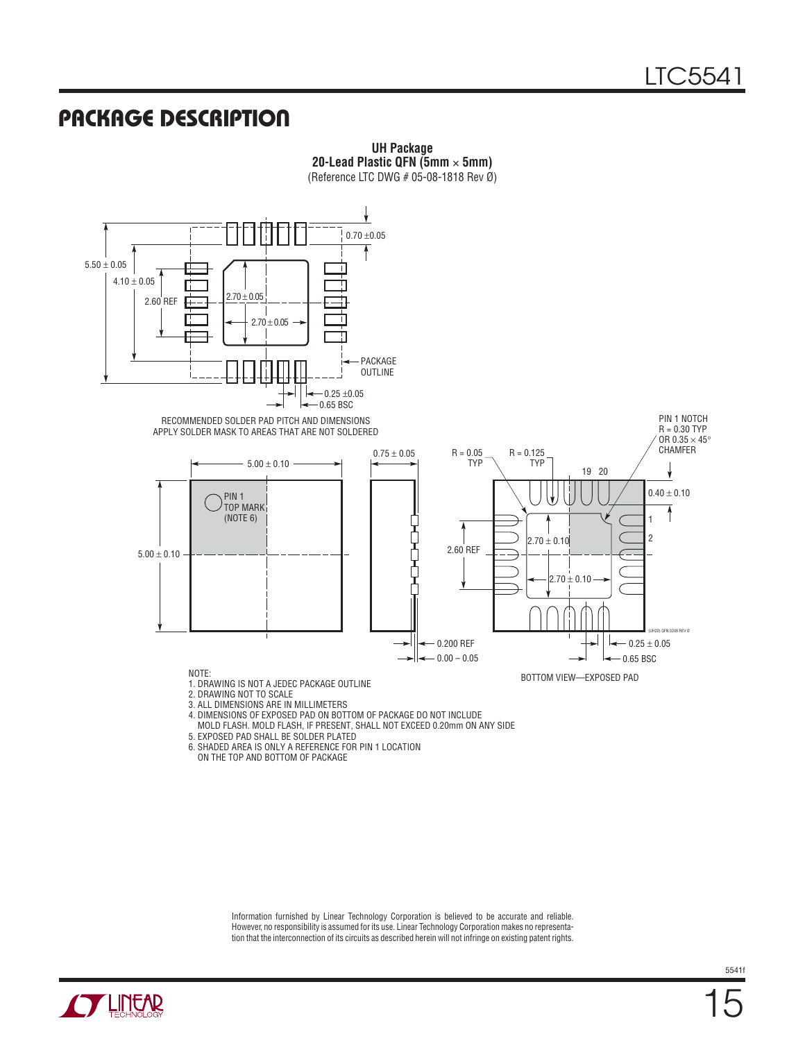### **PACKAGE DESCRIPTION**



**UH Package 20-Lead Plastic QFN (5mm** × **5mm)**

4. DIMENSIONS OF EXPOSED PAD ON BOTTOM OF PACKAGE DO NOT INCLUDE

MOLD FLASH. MOLD FLASH, IF PRESENT, SHALL NOT EXCEED 0.20mm ON ANY SIDE

5. EXPOSED PAD SHALL BE SOLDER PLATED

6. SHADED AREA IS ONLY A REFERENCE FOR PIN 1 LOCATION

ON THE TOP AND BOTTOM OF PACKAGE

Information furnished by Linear Technology Corporation is believed to be accurate and reliable. However, no responsibility is assumed for its use. Linear Technology Corporation makes no representation that the interconnection of its circuits as described herein will not infringe on existing patent rights.